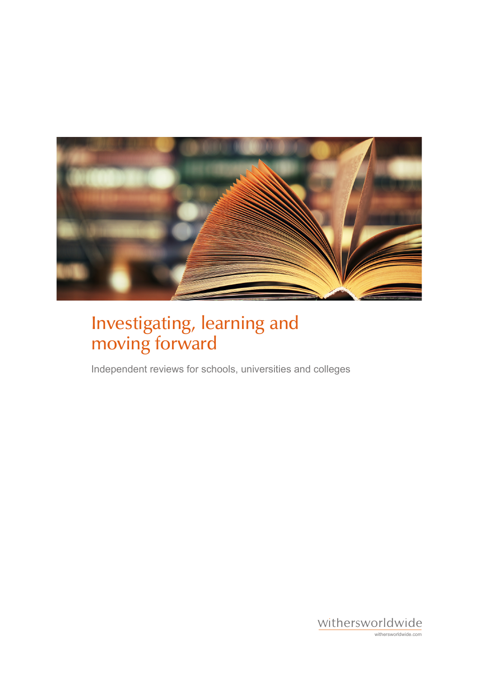

# Investigating, learning and moving forward

Independent reviews for schools, universities and colleges

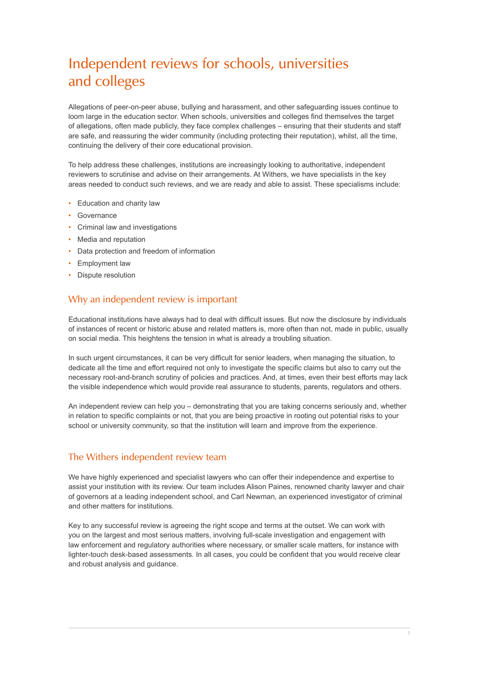# Independent reviews for schools, universities and colleges

Allegations of peer-on-peer abuse, bullying and harassment, and other safeguarding issues continue to loom large in the education sector. When schools, universities and colleges find themselves the target of allegations, often made publicly, they face complex challenges – ensuring that their students and staff are safe, and reassuring the wider community (including protecting their reputation), whilst, all the time, continuing the delivery of their core educational provision.

To help address these challenges, institutions are increasingly looking to authoritative, independent reviewers to scrutinise and advise on their arrangements. At Withers, we have specialists in the key areas needed to conduct such reviews, and we are ready and able to assist. These specialisms include:

- Education and charity law
- Governance
- Criminal law and investigations
- Media and reputation
- Data protection and freedom of information
- Employment law
- Dispute resolution

#### Why an independent review is important

Educational institutions have always had to deal with difficult issues. But now the disclosure by individuals of instances of recent or historic abuse and related matters is, more often than not, made in public, usually on social media. This heightens the tension in what is already a troubling situation.

In such urgent circumstances, it can be very difficult for senior leaders, when managing the situation, to dedicate all the time and effort required not only to investigate the specific claims but also to carry out the necessary root-and-branch scrutiny of policies and practices. And, at times, even their best efforts may lack the visible independence which would provide real assurance to students, parents, regulators and others.

An independent review can help you – demonstrating that you are taking concerns seriously and, whether in relation to specific complaints or not, that you are being proactive in rooting out potential risks to your school or university community, so that the institution will learn and improve from the experience.

#### The Withers independent review team

We have highly experienced and specialist lawyers who can offer their independence and expertise to assist your institution with its review. Our team includes Alison Paines, renowned charity lawyer and chair of governors at a leading independent school, and Carl Newman, an experienced investigator of criminal and other matters for institutions.

Key to any successful review is agreeing the right scope and terms at the outset. We can work with you on the largest and most serious matters, involving full-scale investigation and engagement with law enforcement and regulatory authorities where necessary, or smaller scale matters, for instance with lighter-touch desk-based assessments. In all cases, you could be confident that you would receive clear and robust analysis and guidance.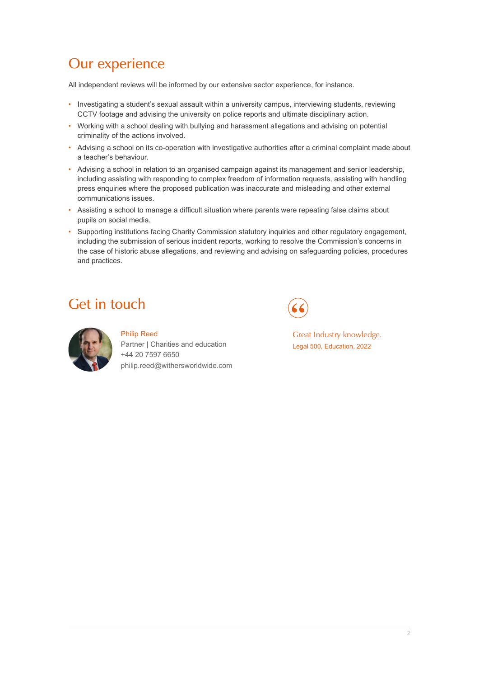## Our experience

All independent reviews will be informed by our extensive sector experience, for instance.

- Investigating a student's sexual assault within a university campus, interviewing students, reviewing CCTV footage and advising the university on police reports and ultimate disciplinary action.
- Working with a school dealing with bullying and harassment allegations and advising on potential criminality of the actions involved.
- Advising a school on its co-operation with investigative authorities after a criminal complaint made about a teacher's behaviour.
- Advising a school in relation to an organised campaign against its management and senior leadership, including assisting with responding to complex freedom of information requests, assisting with handling press enquiries where the proposed publication was inaccurate and misleading and other external communications issues.
- Assisting a school to manage a difficult situation where parents were repeating false claims about pupils on social media.
- Supporting institutions facing Charity Commission statutory inquiries and other regulatory engagement, including the submission of serious incident reports, working to resolve the Commission's concerns in the case of historic abuse allegations, and reviewing and advising on safeguarding policies, procedures and practices.

### Get in touch



#### Philip Reed Partner | Charities and education +44 20 7597 6650 philip.reed@withersworldwide.com

Great Industry knowledge. Legal 500, Education, 2022